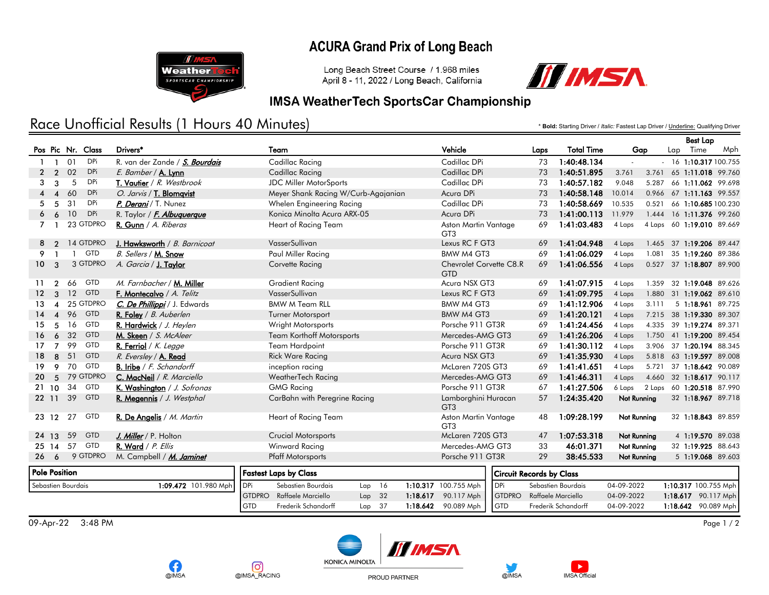### **ACURA Grand Prix of Long Beach**



Long Beach Street Course / 1.968 miles April 8 - 11, 2022 / Long Beach, California



#### **IMSA WeatherTech SportsCar Championship**

# Race Unofficial Results (1 Hours 40 Minutes)

\* **Bold:** Starting Driver / *Italic:* Fastest Lap Driver / Underline: Qualifying Driver

Best Lap

|                                            |                        |    |                   |                                   |                              |                                     |     |                                 |          |                                                          |                   |            |                     |             |                      |     | <b>Best Lap</b>           |  |
|--------------------------------------------|------------------------|----|-------------------|-----------------------------------|------------------------------|-------------------------------------|-----|---------------------------------|----------|----------------------------------------------------------|-------------------|------------|---------------------|-------------|----------------------|-----|---------------------------|--|
|                                            |                        |    | Pos Pic Nr. Class | Drivers*                          | Team                         |                                     |     | Vehicle                         |          | Laps                                                     | <b>Total Time</b> | Gap        |                     | Lap         | Time                 | Mph |                           |  |
|                                            | $\mathbf{1}$           | 01 | <b>DPi</b>        | R. van der Zande / S. Bourdais    |                              | Cadillac Racing                     |     |                                 |          | Cadillac DPi                                             |                   | 73         | 1:40:48.134         | $\sim$      |                      |     | $-16$ 1:10.317 100.755    |  |
| $\mathbf{2}$                               | $\overline{2}$         | 02 | <b>DPi</b>        | E. Bamber / A. Lynn               |                              | Cadillac Racing                     |     |                                 |          | Cadillac DPi                                             |                   | 73         | 1:40:51.895         | 3.761       |                      |     | 3.761 65 1:11.018 99.760  |  |
| 3                                          | 3                      | 5  | <b>DPi</b>        | T. Vautier / R. Westbrook         |                              | <b>JDC Miller MotorSports</b>       |     |                                 |          | Cadillac DPi                                             |                   | 73         | 1:40:57.182         | 9.048       | 5.287                |     | 66 1:11.062 99.698        |  |
|                                            | $\boldsymbol{\Lambda}$ | 60 | <b>DPi</b>        | O. Jarvis / T. Blomavist          |                              | Meyer Shank Racing W/Curb-Agajanian |     |                                 |          | Acura DPi                                                |                   | 73         | 1:40:58.148         | 10.014      |                      |     | 0.966 67 1:11.163 99.557  |  |
| 5.                                         | .5                     | 31 | <b>DPi</b>        | P. Derani / T. Nunez              |                              | Whelen Engineering Racing           |     |                                 |          | Cadillac DPi                                             |                   | 73         | 1:40:58.669         | 10.535      |                      |     | 0.521 66 1:10.685 100.230 |  |
|                                            | 6                      | 10 | <b>DPi</b>        | R. Taylor / <i>F. Albuquerque</i> |                              | Konica Minolta Acura ARX-05         |     |                                 |          | Acura DPi                                                |                   | 73         | 1:41:00.113         | 11.979      |                      |     | 1.444 16 1:11.376 99.260  |  |
| 7                                          |                        |    | 23 GTDPRO         | R. Gunn / A. Riberas              |                              | Heart of Racing Team                |     |                                 |          | Aston Martin Vantage<br>GT <sub>3</sub>                  |                   | 69         | 1:41:03.483         | 4 Laps      |                      |     | 4 Laps 60 1:19.010 89.669 |  |
|                                            | 8 2                    |    | 14 GTDPRO         | J. Hawksworth / B. Barnicoat      |                              | VasserSullivan                      |     |                                 |          | Lexus RC F GT3                                           |                   | 69         | 1:41:04.948         | 4 Laps      |                      |     | 1.465 37 1:19.206 89.447  |  |
| 9                                          |                        | -1 | <b>GTD</b>        | B. Sellers / M. Snow              |                              | Paul Miller Racing                  |     |                                 |          | BMW M4 GT3                                               |                   | 69         | 1:41:06.029         | 4 Laps      |                      |     | 1.081 35 1:19.260 89.386  |  |
| 10 <sup>1</sup>                            | 3                      |    | 3 GTDPRO          | A. Garcia / J. Taylor             |                              | Corvette Racing                     |     |                                 |          | Chevrolet Corvette C8.R<br>GTD                           |                   | 69         | 1:41:06.556         | 4 Laps      |                      |     | 0.527 37 1:18.807 89.900  |  |
| 11                                         | $\mathcal{P}$          | 66 | <b>GTD</b>        | M. Farnbacher / M. Miller         |                              | <b>Gradient Racing</b>              |     |                                 |          | Acura NSX GT3                                            |                   | 69         | 1:41:07.915         | 4 Laps      |                      |     | 1.359 32 1:19.048 89.626  |  |
| 12 <sup>°</sup>                            | 3                      | 12 | <b>GTD</b>        | F. Montecalvo / A. Telitz         |                              | VasserSullivan                      |     |                                 |          | Lexus RC F GT3                                           |                   | 69         | 1:41:09.795         | 4 Laps      |                      |     | 1.880 31 1:19.062 89.610  |  |
| 13                                         | $\boldsymbol{\Lambda}$ |    | 25 GTDPRO         | C. De Phillippi / J. Edwards      |                              | <b>BMW M Team RLL</b>               |     |                                 |          | BMW M4 GT3                                               |                   | 69         | 1:41:12.906         | 4 Laps      | 3.111                |     | 5 1:18.961 89.725         |  |
| 14                                         | $\overline{4}$         | 96 | <b>GTD</b>        | R. Foley / B. Auberlen            |                              | <b>Turner Motorsport</b>            |     |                                 |          | BMW M4 GT3                                               |                   | 69         | 1:41:20.121         | 4 Laps      |                      |     | 7.215 38 1:19.330 89.307  |  |
| 15                                         | 5                      | 16 | <b>GTD</b>        | R. Hardwick / J. Heylen           |                              | Wright Motorsports                  |     |                                 |          | Porsche 911 GT3R                                         |                   | 69         | 1:41:24.456         | 4 Laps      |                      |     | 4.335 39 1:19.274 89.371  |  |
| 16                                         | 6                      | 32 | <b>GTD</b>        | M. Skeen / S. McAleer             |                              | <b>Team Korthoff Motorsports</b>    |     |                                 |          | Mercedes-AMG GT3                                         |                   | 69         | 1:41:26.206         | 4 Laps      |                      |     | 1.750 41 1:19.200 89.454  |  |
| 17 <sup>7</sup>                            | $\overline{7}$         | 99 | <b>GTD</b>        | R. Ferriol / K. Legge             |                              | Team Hardpoint                      |     |                                 |          | Porsche 911 GT3R                                         |                   | 69         | 1:41:30.112         | 4 Laps      |                      |     | 3.906 37 1:20.194 88.345  |  |
| 18                                         | 8                      | 51 | <b>GTD</b>        | R. Eversley / A. Read             |                              | <b>Rick Ware Racing</b>             |     |                                 |          | Acura NSX GT3                                            |                   | 69         | 1:41:35.930         | 4 Laps      |                      |     | 5.818 63 1:19.597 89.008  |  |
| 19                                         | 9                      | 70 | <b>GTD</b>        | <b>B. Iribe</b> / F. Schandorff   |                              | inception racing                    |     |                                 |          | McLaren 720S GT3                                         |                   | 69         | 1:41:41.651         | 4 Laps      |                      |     | 5.721 37 1:18.642 90.089  |  |
| 20 <sup>2</sup>                            | 5                      |    | 79 GTDPRO         | C. MacNeil / R. Marciello         |                              | WeatherTech Racing                  |     |                                 |          | Mercedes-AMG GT3                                         |                   | 69         | 1:41:46.311         | 4 Laps      |                      |     | 4.660 32 1:18.617 90.117  |  |
|                                            | 21 10                  | 34 | GTD               | K. Washington / J. Sofronas       |                              | <b>GMG Racing</b>                   |     |                                 |          | Porsche 911 GT3R                                         |                   | 67         | 1:41:27.506         | 6 Laps      |                      |     | 2 Laps 60 1:20.518 87.990 |  |
|                                            | 22 11                  | 39 | <b>GTD</b>        | R. Megennis / J. Westphal         |                              | CarBahn with Peregrine Racing       |     |                                 |          | Lamborghini Huracan<br>GT <sub>3</sub>                   |                   | 57         | 1:24:35.420         | Not Running |                      |     | 32 1:18.967 89.718        |  |
|                                            | 23 12                  | 27 | GTD               | R. De Angelis / M. Martin         |                              | Heart of Racing Team                |     |                                 |          | Aston Martin Vantage<br>GT <sub>3</sub>                  |                   | 48         | 1:09:28.199         | Not Running |                      |     | 32 1:18.843 89.859        |  |
|                                            | 24 13                  | 59 | <b>GTD</b>        | J. Miller / P. Holton             |                              | <b>Crucial Motorsports</b>          |     |                                 |          | McLaren 720S GT3                                         |                   | 47         | 1:07:53.318         | Not Running |                      |     | 4 1:19.570 89.038         |  |
|                                            |                        |    | 25 14 57 GTD      | R. Ward / P. Ellis                |                              | <b>Winward Racing</b>               |     |                                 |          | Mercedes-AMG GT3                                         |                   | 33         | 46:01.371           | Not Running |                      |     | 32 1:19.925 88.643        |  |
|                                            | 266                    |    | 9 GTDPRO          | M. Campbell / M. Jaminet          |                              | <b>Pfaff Motorsports</b>            |     |                                 |          | Porsche 911 GT3R                                         |                   | 29         | 38:45.533           | Not Running |                      |     | 5 1:19.068 89.603         |  |
| <b>Pole Position</b>                       |                        |    |                   |                                   | <b>Fastest Laps by Class</b> |                                     |     | <b>Circuit Records by Class</b> |          |                                                          |                   |            |                     |             |                      |     |                           |  |
| Sebastien Bourdais<br>1:09.472 101.980 Mph |                        |    |                   |                                   | <b>DPi</b>                   | Sebastien Bourdais                  | Lap | 16                              |          | 1:10.317 100.755 Mph<br><b>DPi</b><br>Sebastien Bourdais |                   | 04-09-2022 |                     |             | 1:10.317 100.755 Mph |     |                           |  |
|                                            |                        |    |                   |                                   | <b>GTDPRO</b>                | Raffaele Marciello                  |     | $Lap$ 32                        | 1:18.617 | 90.117 Mph                                               | <b>GTDPRO</b>     |            | Raffaele Marciello  | 04-09-2022  |                      |     | 1:18.617 90.117 Mph       |  |
|                                            |                        |    |                   |                                   | <b>GTD</b>                   | Frederik Schandorff                 | Lap | -37                             | 1:18.642 | 90.089 Mph                                               | <b>GTD</b>        |            | Frederik Schandorff | 04-09-2022  |                      |     | 1:18.642 90.089 Mph       |  |

 $09-$ Apr-22 3:48 PM Page 1 / 2



PROUD PARTNER

[ල

@IMSA\_RACING

f.

@IMSA